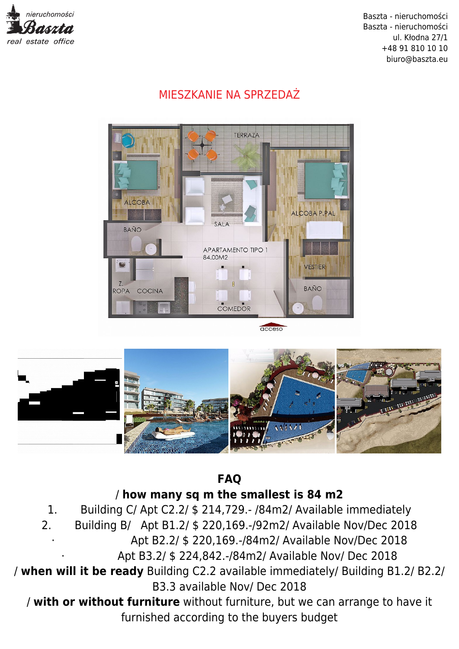

## MIESZKANIE NA SPRZEDAŻ



acceso



**FAQ** / **how many sq m the smallest is 84 m2**

1. Building C/ Apt C2.2/ \$ 214,729.- /84m2/ Available immediately 2. Building B/ Apt B1.2/ \$ 220,169.-/92m2/ Available Nov/Dec 2018 · Apt B2.2/ \$ 220,169.-/84m2/ Available Nov/Dec 2018

· Apt B3.2/ \$ 224,842.-/84m2/ Available Nov/ Dec 2018

/ **when will it be ready** Building C2.2 available immediately/ Building B1.2/ B2.2/ B3.3 available Nov/ Dec 2018

/ **with or without furniture** without furniture, but we can arrange to have it furnished according to the buyers budget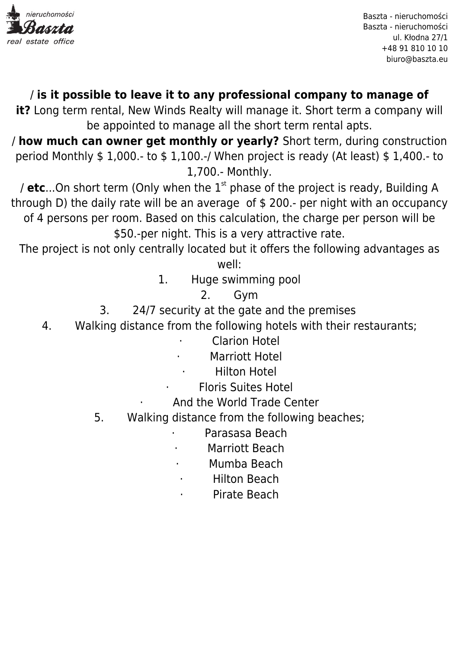

## / **is it possible to leave it to any professional company to manage of**

**it?** Long term rental, New Winds Realty will manage it. Short term a company will be appointed to manage all the short term rental apts.

/ **how much can owner get monthly or yearly?** Short term, during construction period Monthly \$ 1,000.- to \$ 1,100.-/ When project is ready (At least) \$ 1,400.- to 1,700.- Monthly.

/ **etc**...On short term (Only when the 1st phase of the project is ready, Building A through D) the daily rate will be an average of \$ 200.- per night with an occupancy of 4 persons per room. Based on this calculation, the charge per person will be \$50.-per night. This is a very attractive rate.

The project is not only centrally located but it offers the following advantages as well:

1. Huge swimming pool

2. Gym

- 3. 24/7 security at the gate and the premises
- 4. Walking distance from the following hotels with their restaurants;

**Clarion Hotel** 

- Marriott Hotel
- **Hilton Hotel**
- · Floris Suites Hotel
- And the World Trade Center
- 5. Walking distance from the following beaches;
	- Parasasa Beach
	- Marriott Beach
	- Mumba Beach
	- · Hilton Beach
	- Pirate Beach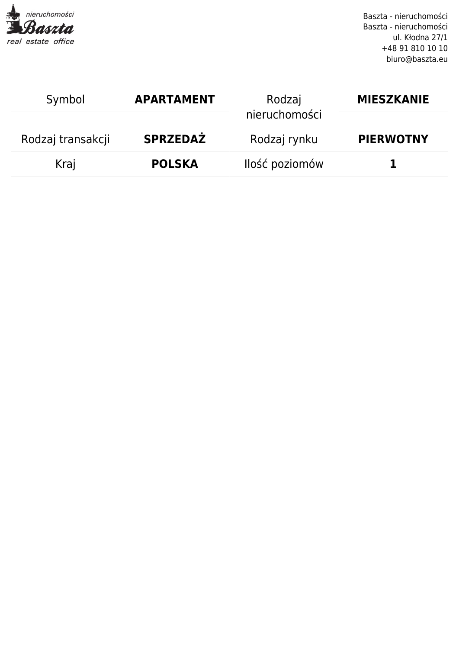

| Symbol            | <b>APARTAMENT</b> | Rodzaj         | <b>MIESZKANIE</b> |
|-------------------|-------------------|----------------|-------------------|
|                   |                   | nieruchomości  |                   |
| Rodzaj transakcji | <b>SPRZEDAŻ</b>   | Rodzaj rynku   | <b>PIERWOTNY</b>  |
| Kraj              | <b>POLSKA</b>     | Ilość poziomów |                   |